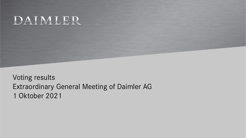

Voting results Extraordinary General Meeting of Daimler AG 1 Oktober 2021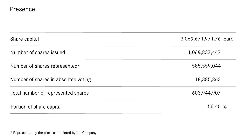## Presence

| Share capital                       | 3,069,671,971.76 Euro |
|-------------------------------------|-----------------------|
| Number of shares issued             | 1,069,837,447         |
| Number of shares represented*       | 585,559,044           |
| Number of shares in absentee voting | 18,385,863            |
| Total number of represented shares  | 603,944,907           |
| Portion of share capital            | 56.45 %               |

\* Represented by the proxies appointed by the Company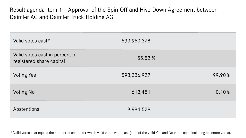Result agenda item 1 – Approval of the Spin-Off and Hive-Down Agreement between Daimler AG and Daimler Truck Holding AG

| Valid votes cast*                                          | 593,950,378 |        |
|------------------------------------------------------------|-------------|--------|
| Valid votes cast in percent of<br>registered share capital | 55.52 %     |        |
| <b>Voting Yes</b>                                          | 593,336,927 | 99.90% |
| <b>Voting No</b>                                           | 613,451     | 0.10%  |
| Abstentions                                                | 9,994,529   |        |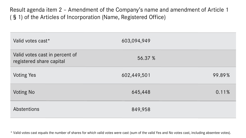Result agenda item 2 – Amendment of the Company's name and amendment of Article 1 (§1) of the Articles of Incorporation (Name, Registered Office)

| Valid votes cast*                                          | 603,094,949 |        |
|------------------------------------------------------------|-------------|--------|
| Valid votes cast in percent of<br>registered share capital | 56.37 %     |        |
| <b>Voting Yes</b>                                          | 602,449,501 | 99.89% |
| <b>Voting No</b>                                           | 645,448     | 0.11%  |
| Abstentions                                                | 849,958     |        |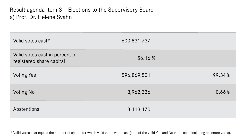## Result agenda item 3 – Elections to the Supervisory Board a) Prof. Dr. Helene Svahn

| Valid votes cast*                                          | 600,831,737 |        |
|------------------------------------------------------------|-------------|--------|
| Valid votes cast in percent of<br>registered share capital | 56.16 %     |        |
| <b>Voting Yes</b>                                          | 596,869,501 | 99.34% |
| <b>Voting No</b>                                           | 3,962,236   | 0.66%  |
| Abstentions                                                | 3, 113, 170 |        |